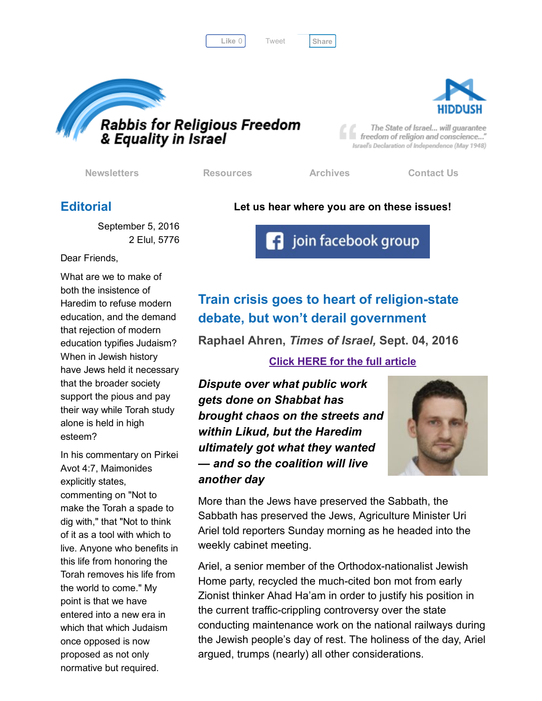Like 0 | Tweet | [Share](javascript:void(0);)

[Tweet](https://twitter.com/intent/tweet?original_referer=http%3A%2F%2Fhosted-p0.vresp.com%2F577764%2F47a69ebe5a%2FARCHIVE&ref_src=twsrc%5Etfw&text=Bulletin%3A%20Must%20Torah%20study%20preclude%20employment%3F&tw_p=tweetbutton&url=http%3A%2F%2Fhosted-p0.vresp.com%2F577764%2F47a69ebe5a%2FARCHIVE%23.V9EsxUGcj7Y.twitter)





The State of Israel... will guarantee freedom of religion and conscience..." Israel's Declaration of Independence (May 1948)

[Newsletters](http://rrfei.org/newsletters/) [Resources](http://rrfei.org/resources/) [Archives](http://rrfei.org/about/rrfei-archives/) [Contact](http://rrfei.org/contact-us/) Us

## **Editorial**

#### Let us hear where you are on these issues!

**3** join facebook group

September 5, 2016 2 Elul, 5776

Dear Friends,

What are we to make of both the insistence of Haredim to refuse modern education, and the demand that rejection of modern education typifies Judaism? When in Jewish history have Jews held it necessary that the broader society support the pious and pay their way while Torah study alone is held in high esteem?

In his commentary on Pirkei Avot 4:7, Maimonides explicitly states, commenting on "Not to make the Torah a spade to dig with," that "Not to think of it as a tool with which to live. Anyone who benefits in this life from honoring the Torah removes his life from the world to come." My point is that we have entered into a new era in which that which Judaism once opposed is now proposed as not only normative but required.

# Train crisis goes to heart of religion-state

## debate, but won't derail government

## Raphael Ahren, *Times of Israel,* Sept. 04, 2016

### Click HERE for the full [article](http://www.timesofisrael.com/train-crisis-goes-to-heart-of-religion-state-debate-but-wont-derail-government/)

*Dispute over what public work gets done on Shabbat has brought chaos on the streets and within Likud, but the Haredim ultimately got what they wanted — and so the coalition will live another day*



More than the Jews have preserved the Sabbath, the Sabbath has preserved the Jews, Agriculture Minister Uri Ariel told reporters Sunday morning as he headed into the weekly cabinet meeting.

Ariel, a senior member of the Orthodox-nationalist Jewish Home party, recycled the much-cited bon mot from early Zionist thinker Ahad Ha'am in order to justify his position in the current traffic-crippling controversy over the state conducting maintenance work on the national railways during the Jewish people's day of rest. The holiness of the day, Ariel argued, trumps (nearly) all other considerations.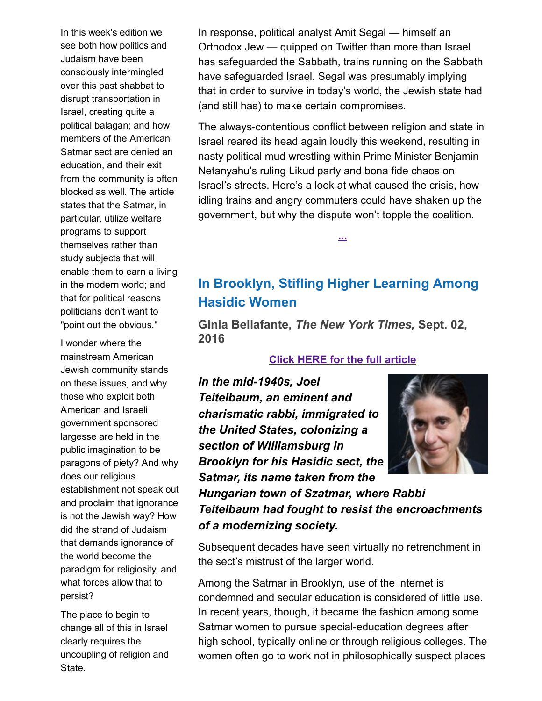In this week's edition we see both how politics and Judaism have been consciously intermingled over this past shabbat to disrupt transportation in Israel, creating quite a political balagan; and how members of the American Satmar sect are denied an education, and their exit from the community is often blocked as well. The article states that the Satmar, in particular, utilize welfare programs to support themselves rather than study subjects that will enable them to earn a living in the modern world; and that for political reasons politicians don't want to "point out the obvious."

I wonder where the mainstream American Jewish community stands on these issues, and why those who exploit both American and Israeli government sponsored largesse are held in the public imagination to be paragons of piety? And why does our religious establishment not speak out and proclaim that ignorance is not the Jewish way? How did the strand of Judaism that demands ignorance of the world become the paradigm for religiosity, and what forces allow that to persist?

The place to begin to change all of this in Israel clearly requires the uncoupling of religion and State.

In response, political analyst Amit Segal — himself an Orthodox Jew — quipped on Twitter than more than Israel has safeguarded the Sabbath, trains running on the Sabbath have safeguarded Israel. Segal was presumably implying that in order to survive in today's world, the Jewish state had (and still has) to make certain compromises.

The always-contentious conflict between religion and state in Israel reared its head again loudly this weekend, resulting in nasty political mud wrestling within Prime Minister Benjamin Netanyahu's ruling Likud party and bona fide chaos on Israel's streets. Here's a look at what caused the crisis, how idling trains and angry commuters could have shaken up the government, but why the dispute won't topple the coalition.

## In Brooklyn, Stifling Higher Learning Among Hasidic Women

[...](http://www.timesofisrael.com/train-crisis-goes-to-heart-of-religion-state-debate-but-wont-derail-government/)

Ginia Bellafante, *The New York Times,* Sept. 02, 2016

### Click HERE for the full [article](http://www.nytimes.com/2016/09/04/nyregion/in-brooklyn-stifling-higher-learning-among-hasidic-women.html)

*In the mid1940s, Joel Teitelbaum, an eminent and charismatic rabbi, immigrated to the United States, colonizing a section of Williamsburg in Brooklyn for his Hasidic sect, the Satmar, its name taken from the*



*Hungarian town of Szatmar, where Rabbi Teitelbaum had fought to resist the encroachments of a modernizing society.*

Subsequent decades have seen virtually no retrenchment in the sect's mistrust of the larger world.

Among the Satmar in Brooklyn, use of the internet is condemned and secular education is considered of little use. In recent years, though, it became the fashion among some Satmar women to pursue special-education degrees after high school, typically online or through religious colleges. The women often go to work not in philosophically suspect places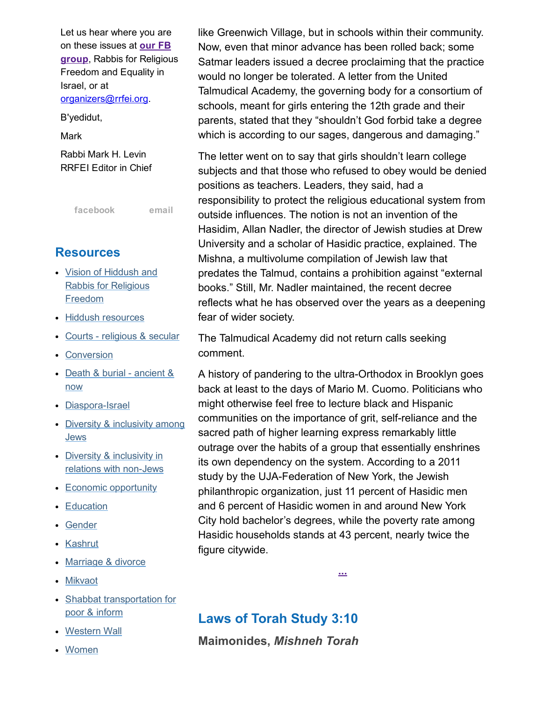Let us hear where you are on these issues at our FB group, Rabbis for [Religiou](https://www.facebook.com/groups/132239560451232/)s Freedom and Equality in Israel, or at [organizers@rrfei.org.](mailto:organizers@rrfei.org) B'yedidut,

**Mark** 

Rabbi Mark H. Levin RRFEI Editor in Chief

[facebook](https://www.facebook.com/groups/132239560451232/) [email](mailto:organizers@rrfei.org)

## **Resources**

- Vision of Hiddush and Rabbis for [Religious](http://rrfei.org/resources/vision-of-hiddush-and-rabbis-for-religious-freedom/) Freedom
- Hiddush [resources](http://rrfei.org/resources/hiddush-resources/)
- Courts [religious](http://rrfei.org/resources/courts-religious-and-secular/) & secular
- [Conversion](http://rrfei.org/resources/conversion/)
- Death & burial [ancient](http://rrfei.org/resources/death-and-burial-ancient-and-now/) & now
- Diaspora-Israel
- Diversity & [inclusivity](http://rrfei.org/resources/diversity-and-inclusivity-among-jews/) among **Jews**
- Diversity & inclusivity in relations with non-Jews
- Economic [opportunity](http://rrfei.org/resources/economic-opportunity/)
- [Education](http://rrfei.org/resources/education/)
- [Gender](http://rrfei.org/resources/gender/)
- [Kashrut](http://rrfei.org/resources/kashrut/)
- [Marriage](http://rrfei.org/resources/marriage-divorce/) & divorce
- [Mikvaot](http://rrfei.org/resources/mikvaot/)
- Shabbat [transportation](http://rrfei.org/resources/shabbat-transportation-for-poor-and-infirm/) for poor & inform
- [Western](http://rrfei.org/resources/western-wall/) Wall
- [Women](http://rrfei.org/resources/womens-status/)

like Greenwich Village, but in schools within their community. Now, even that minor advance has been rolled back; some Satmar leaders issued a decree proclaiming that the practice would no longer be tolerated. A letter from the United Talmudical Academy, the governing body for a consortium of schools, meant for girls entering the 12th grade and their parents, stated that they "shouldn't God forbid take a degree which is according to our sages, dangerous and damaging."

The letter went on to say that girls shouldn't learn college subjects and that those who refused to obey would be denied positions as teachers. Leaders, they said, had a responsibility to protect the religious educational system from outside influences. The notion is not an invention of the Hasidim, Allan Nadler, the director of Jewish studies at Drew University and a scholar of Hasidic practice, explained. The Mishna, a multivolume compilation of Jewish law that predates the Talmud, contains a prohibition against "external books." Still, Mr. Nadler maintained, the recent decree reflects what he has observed over the years as a deepening fear of wider society.

The Talmudical Academy did not return calls seeking comment.

A history of pandering to the ultra-Orthodox in Brooklyn goes back at least to the days of Mario M. Cuomo. Politicians who might otherwise feel free to lecture black and Hispanic communities on the importance of grit, self-reliance and the sacred path of higher learning express remarkably little outrage over the habits of a group that essentially enshrines its own dependency on the system. According to a 2011 study by the UJA-Federation of New York, the Jewish philanthropic organization, just 11 percent of Hasidic men and 6 percent of Hasidic women in and around New York City hold bachelor's degrees, while the poverty rate among Hasidic households stands at 43 percent, nearly twice the figure citywide.

[...](http://www.nytimes.com/2016/09/04/nyregion/in-brooklyn-stifling-higher-learning-among-hasidic-women.html)

## Laws of Torah Study 3:10

Maimonides, *Mishneh Torah*